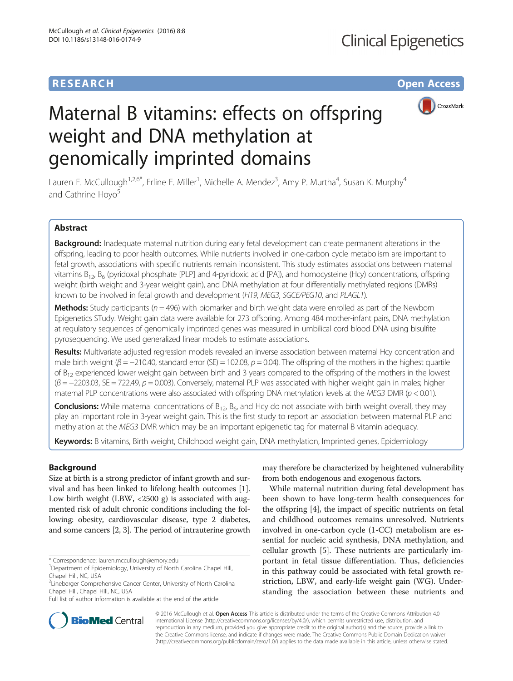# **RESEARCH CHE Open Access**



# Maternal B vitamins: effects on offspring weight and DNA methylation at genomically imprinted domains

Lauren E. McCullough<sup>1,2,6\*</sup>, Erline E. Miller<sup>1</sup>, Michelle A. Mendez<sup>3</sup>, Amy P. Murtha<sup>4</sup>, Susan K. Murphy<sup>4</sup> and Cathrine Hoyo<sup>5</sup>

# Abstract

Background: Inadequate maternal nutrition during early fetal development can create permanent alterations in the offspring, leading to poor health outcomes. While nutrients involved in one-carbon cycle metabolism are important to fetal growth, associations with specific nutrients remain inconsistent. This study estimates associations between maternal vitamins  $B_{12}$ ,  $B_6$  (pyridoxal phosphate [PLP] and 4-pyridoxic acid [PA]), and homocysteine (Hcy) concentrations, offspring weight (birth weight and 3-year weight gain), and DNA methylation at four differentially methylated regions (DMRs) known to be involved in fetal growth and development (H19, MEG3, SGCE/PEG10, and PLAGL1).

**Methods:** Study participants ( $n = 496$ ) with biomarker and birth weight data were enrolled as part of the Newborn Epigenetics STudy. Weight gain data were available for 273 offspring. Among 484 mother-infant pairs, DNA methylation at regulatory sequences of genomically imprinted genes was measured in umbilical cord blood DNA using bisulfite pyrosequencing. We used generalized linear models to estimate associations.

Results: Multivariate adjusted regression models revealed an inverse association between maternal Hcy concentration and male birth weight ( $\beta = -210.40$ , standard error (SE) = 102.08,  $p = 0.04$ ). The offspring of the mothers in the highest quartile of  $B_{12}$  experienced lower weight gain between birth and 3 years compared to the offspring of the mothers in the lowest  $(\beta = -2203.03, SE = 722.49, p = 0.003)$ . Conversely, maternal PLP was associated with higher weight gain in males; higher maternal PLP concentrations were also associated with offspring DNA methylation levels at the MEG3 DMR ( $p < 0.01$ ).

**Conclusions:** While maternal concentrations of  $B_{12}$ ,  $B_6$ , and Hcy do not associate with birth weight overall, they may play an important role in 3-year weight gain. This is the first study to report an association between maternal PLP and methylation at the MEG3 DMR which may be an important epigenetic tag for maternal B vitamin adequacy.

Keywords: B vitamins, Birth weight, Childhood weight gain, DNA methylation, Imprinted genes, Epidemiology

## Background

Size at birth is a strong predictor of infant growth and survival and has been linked to lifelong health outcomes [[1](#page-9-0)]. Low birth weight (LBW,  $\langle 2500 \text{ g} \rangle$  is associated with augmented risk of adult chronic conditions including the following: obesity, cardiovascular disease, type 2 diabetes, and some cancers [\[2](#page-9-0), [3\]](#page-9-0). The period of intrauterine growth

\* Correspondence: [lauren.mccullough@emory.edu](mailto:lauren.mccullough@emory.edu) <sup>1</sup>

may therefore be characterized by heightened vulnerability from both endogenous and exogenous factors.

While maternal nutrition during fetal development has been shown to have long-term health consequences for the offspring [\[4\]](#page-9-0), the impact of specific nutrients on fetal and childhood outcomes remains unresolved. Nutrients involved in one-carbon cycle (1-CC) metabolism are essential for nucleic acid synthesis, DNA methylation, and cellular growth [\[5](#page-9-0)]. These nutrients are particularly important in fetal tissue differentiation. Thus, deficiencies in this pathway could be associated with fetal growth restriction, LBW, and early-life weight gain (WG). Understanding the association between these nutrients and



© 2016 McCullough et al. Open Access This article is distributed under the terms of the Creative Commons Attribution 4.0 International License [\(http://creativecommons.org/licenses/by/4.0/](http://creativecommons.org/licenses/by/4.0/)), which permits unrestricted use, distribution, and reproduction in any medium, provided you give appropriate credit to the original author(s) and the source, provide a link to the Creative Commons license, and indicate if changes were made. The Creative Commons Public Domain Dedication waiver [\(http://creativecommons.org/publicdomain/zero/1.0/](http://creativecommons.org/publicdomain/zero/1.0/)) applies to the data made available in this article, unless otherwise stated.

<sup>&</sup>lt;sup>1</sup>Department of Epidemiology, University of North Carolina Chapel Hill, Chapel Hill, NC, USA

<sup>&</sup>lt;sup>2</sup> Lineberger Comprehensive Cancer Center, University of North Carolina Chapel Hill, Chapel Hill, NC, USA

Full list of author information is available at the end of the article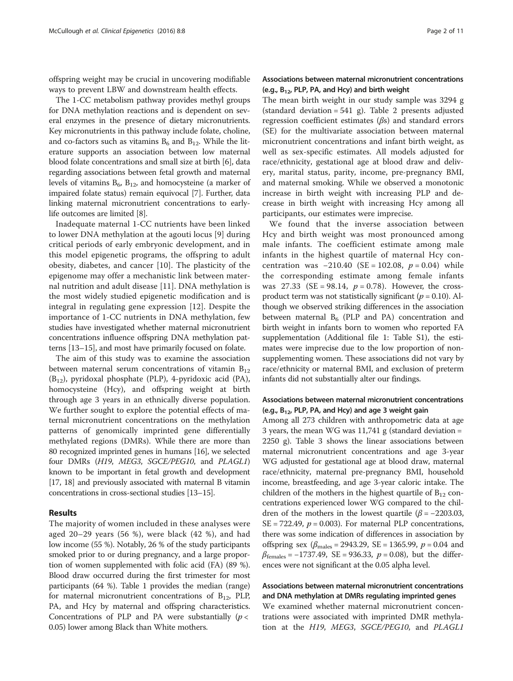offspring weight may be crucial in uncovering modifiable ways to prevent LBW and downstream health effects.

The 1-CC metabolism pathway provides methyl groups for DNA methylation reactions and is dependent on several enzymes in the presence of dietary micronutrients. Key micronutrients in this pathway include folate, choline, and co-factors such as vitamins  $B_6$  and  $B_{12}$ . While the literature supports an association between low maternal blood folate concentrations and small size at birth [\[6](#page-9-0)], data regarding associations between fetal growth and maternal levels of vitamins  $B_6$ ,  $B_{12}$ , and homocysteine (a marker of impaired folate status) remain equivocal [[7](#page-9-0)]. Further, data linking maternal micronutrient concentrations to earlylife outcomes are limited [\[8](#page-9-0)].

Inadequate maternal 1-CC nutrients have been linked to lower DNA methylation at the agouti locus [\[9](#page-9-0)] during critical periods of early embryonic development, and in this model epigenetic programs, the offspring to adult obesity, diabetes, and cancer [\[10](#page-9-0)]. The plasticity of the epigenome may offer a mechanistic link between maternal nutrition and adult disease [[11](#page-9-0)]. DNA methylation is the most widely studied epigenetic modification and is integral in regulating gene expression [\[12](#page-9-0)]. Despite the importance of 1-CC nutrients in DNA methylation, few studies have investigated whether maternal micronutrient concentrations influence offspring DNA methylation patterns [\[13](#page-9-0)–[15\]](#page-9-0), and most have primarily focused on folate.

The aim of this study was to examine the association between maternal serum concentrations of vitamin  $B_{12}$  $(B_{12})$ , pyridoxal phosphate (PLP), 4-pyridoxic acid (PA), homocysteine (Hcy), and offspring weight at birth through age 3 years in an ethnically diverse population. We further sought to explore the potential effects of maternal micronutrient concentrations on the methylation patterns of genomically imprinted gene differentially methylated regions (DMRs). While there are more than 80 recognized imprinted genes in humans [\[16\]](#page-9-0), we selected four DMRs (H19, MEG3, SGCE/PEG10, and PLAGL1) known to be important in fetal growth and development [[17](#page-9-0), [18\]](#page-9-0) and previously associated with maternal B vitamin concentrations in cross-sectional studies [\[13](#page-9-0)–[15\]](#page-9-0).

## Results

The majority of women included in these analyses were aged 20–29 years (56 %), were black (42 %), and had low income (55 %). Notably, 26 % of the study participants smoked prior to or during pregnancy, and a large proportion of women supplemented with folic acid (FA) (89 %). Blood draw occurred during the first trimester for most participants (64 %). Table [1](#page-2-0) provides the median (range) for maternal micronutrient concentrations of  $B_{12}$ , PLP, PA, and Hcy by maternal and offspring characteristics. Concentrations of PLP and PA were substantially  $(p <$ 0.05) lower among Black than White mothers.

## Associations between maternal micronutrient concentrations (e.g.,  $B_{12}$ , PLP, PA, and Hcy) and birth weight

The mean birth weight in our study sample was 3294 g (standard deviation  $= 541$  g). Table [2](#page-3-0) presents adjusted regression coefficient estimates (βs) and standard errors (SE) for the multivariate association between maternal micronutrient concentrations and infant birth weight, as well as sex-specific estimates. All models adjusted for race/ethnicity, gestational age at blood draw and delivery, marital status, parity, income, pre-pregnancy BMI, and maternal smoking. While we observed a monotonic increase in birth weight with increasing PLP and decrease in birth weight with increasing Hcy among all participants, our estimates were imprecise.

We found that the inverse association between Hcy and birth weight was most pronounced among male infants. The coefficient estimate among male infants in the highest quartile of maternal Hcy concentration was  $-210.40$  (SE = 102.08,  $p = 0.04$ ) while the corresponding estimate among female infants was 27.33 (SE = 98.14,  $p = 0.78$ ). However, the crossproduct term was not statistically significant ( $p = 0.10$ ). Although we observed striking differences in the association between maternal  $B_6$  (PLP and PA) concentration and birth weight in infants born to women who reported FA supplementation (Additional file [1](#page-8-0): Table S1), the estimates were imprecise due to the low proportion of nonsupplementing women. These associations did not vary by race/ethnicity or maternal BMI, and exclusion of preterm infants did not substantially alter our findings.

## Associations between maternal micronutrient concentrations (e.g.,  $B_{12}$ , PLP, PA, and Hcy) and age 3 weight gain

Among all 273 children with anthropometric data at age 3 years, the mean WG was  $11,741$  g (standard deviation = 2250 g). Table [3](#page-4-0) shows the linear associations between maternal micronutrient concentrations and age 3-year WG adjusted for gestational age at blood draw, maternal race/ethnicity, maternal pre-pregnancy BMI, household income, breastfeeding, and age 3-year caloric intake. The children of the mothers in the highest quartile of  $B_{12}$  concentrations experienced lower WG compared to the children of the mothers in the lowest quartile ( $\beta$  = -2203.03,  $SE = 722.49$ ,  $p = 0.003$ . For maternal PLP concentrations, there was some indication of differences in association by offspring sex ( $\beta_{\text{males}}$  = 2943.29, SE = 1365.99,  $p$  = 0.04 and  $\beta_{\text{females}} = -1737.49$ , SE = 936.33, p = 0.08), but the differences were not significant at the 0.05 alpha level.

# Associations between maternal micronutrient concentrations and DNA methylation at DMRs regulating imprinted genes

We examined whether maternal micronutrient concentrations were associated with imprinted DMR methylation at the H19, MEG3, SGCE/PEG10, and PLAGL1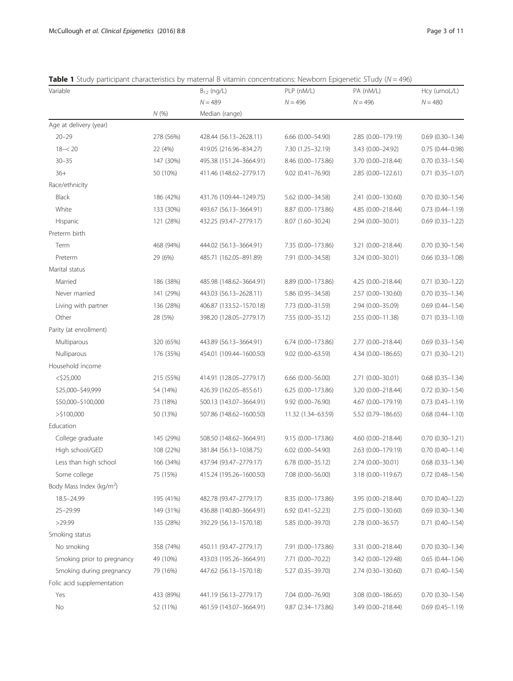<span id="page-2-0"></span>

|  | <b>Table 1</b> Study participant characteristics by maternal B vitamin concentrations: Newborn Epigenetic STudy ( $N = 496$ ) |  |  |  |
|--|-------------------------------------------------------------------------------------------------------------------------------|--|--|--|
|  |                                                                                                                               |  |  |  |

| $N = 489$<br>$N = 496$<br>$N = 496$<br>$N = 480$<br>N(%)<br>Median (range)<br>Age at delivery (year)<br>$20 - 29$<br>278 (56%)<br>428.44 (56.13-2628.11)<br>$6.66$ $(0.00 - 54.90)$<br>2.85 (0.00-179.19)<br>$0.69$ $(0.30-1.34)$<br>$18 - 20$<br>22 (4%)<br>419.05 (216.96-834.27)<br>7.30 (1.25-32.19)<br>3.43 (0.00-24.92)<br>$0.75(0.44 - 0.98)$<br>$30 - 35$<br>147 (30%)<br>495.38 (151.24-3664.91)<br>8.46 (0.00-173.86)<br>3.70 (0.00-218.44)<br>$0.70(0.33 - 1.54)$<br>$36+$<br>50 (10%)<br>$0.71 (0.35 - 1.07)$<br>411.46 (148.62-2779.17)<br>9.02 (0.41-76.90)<br>2.85 (0.00-122.61)<br>Race/ethnicity<br>186 (42%)<br><b>Black</b><br>431.76 (109.44-1249.75)<br>5.62 (0.00-34.58)<br>2.41 (0.00-130.60)<br>$0.70$ $(0.30-1.54)$<br>White<br>133 (30%)<br>493.67 (56.13-3664.91)<br>8.87 (0.00-173.86)<br>4.85 (0.00-218.44)<br>$0.73$ $(0.44 - 1.19)$<br>Hispanic<br>121 (28%)<br>432.25 (93.47-2779.17)<br>8.07 (1.60-30.24)<br>2.94 (0.00-30.01)<br>$0.69$ $(0.33 - 1.22)$<br>Preterm birth<br>468 (94%)<br>Term<br>444.02 (56.13-3664.91)<br>7.35 (0.00-173.86)<br>3.21 (0.00-218.44)<br>$0.70(0.30 - 1.54)$<br>Preterm<br>29 (6%)<br>485.71 (162.05-891.89)<br>7.91 (0.00-34.58)<br>3.24 (0.00-30.01)<br>$0.66$ $(0.33 - 1.08)$<br>Marital status | Hcy (umoL/L) |
|--------------------------------------------------------------------------------------------------------------------------------------------------------------------------------------------------------------------------------------------------------------------------------------------------------------------------------------------------------------------------------------------------------------------------------------------------------------------------------------------------------------------------------------------------------------------------------------------------------------------------------------------------------------------------------------------------------------------------------------------------------------------------------------------------------------------------------------------------------------------------------------------------------------------------------------------------------------------------------------------------------------------------------------------------------------------------------------------------------------------------------------------------------------------------------------------------------------------------------------------------------------------|--------------|
|                                                                                                                                                                                                                                                                                                                                                                                                                                                                                                                                                                                                                                                                                                                                                                                                                                                                                                                                                                                                                                                                                                                                                                                                                                                                    |              |
|                                                                                                                                                                                                                                                                                                                                                                                                                                                                                                                                                                                                                                                                                                                                                                                                                                                                                                                                                                                                                                                                                                                                                                                                                                                                    |              |
|                                                                                                                                                                                                                                                                                                                                                                                                                                                                                                                                                                                                                                                                                                                                                                                                                                                                                                                                                                                                                                                                                                                                                                                                                                                                    |              |
|                                                                                                                                                                                                                                                                                                                                                                                                                                                                                                                                                                                                                                                                                                                                                                                                                                                                                                                                                                                                                                                                                                                                                                                                                                                                    |              |
|                                                                                                                                                                                                                                                                                                                                                                                                                                                                                                                                                                                                                                                                                                                                                                                                                                                                                                                                                                                                                                                                                                                                                                                                                                                                    |              |
|                                                                                                                                                                                                                                                                                                                                                                                                                                                                                                                                                                                                                                                                                                                                                                                                                                                                                                                                                                                                                                                                                                                                                                                                                                                                    |              |
|                                                                                                                                                                                                                                                                                                                                                                                                                                                                                                                                                                                                                                                                                                                                                                                                                                                                                                                                                                                                                                                                                                                                                                                                                                                                    |              |
|                                                                                                                                                                                                                                                                                                                                                                                                                                                                                                                                                                                                                                                                                                                                                                                                                                                                                                                                                                                                                                                                                                                                                                                                                                                                    |              |
|                                                                                                                                                                                                                                                                                                                                                                                                                                                                                                                                                                                                                                                                                                                                                                                                                                                                                                                                                                                                                                                                                                                                                                                                                                                                    |              |
|                                                                                                                                                                                                                                                                                                                                                                                                                                                                                                                                                                                                                                                                                                                                                                                                                                                                                                                                                                                                                                                                                                                                                                                                                                                                    |              |
|                                                                                                                                                                                                                                                                                                                                                                                                                                                                                                                                                                                                                                                                                                                                                                                                                                                                                                                                                                                                                                                                                                                                                                                                                                                                    |              |
|                                                                                                                                                                                                                                                                                                                                                                                                                                                                                                                                                                                                                                                                                                                                                                                                                                                                                                                                                                                                                                                                                                                                                                                                                                                                    |              |
|                                                                                                                                                                                                                                                                                                                                                                                                                                                                                                                                                                                                                                                                                                                                                                                                                                                                                                                                                                                                                                                                                                                                                                                                                                                                    |              |
|                                                                                                                                                                                                                                                                                                                                                                                                                                                                                                                                                                                                                                                                                                                                                                                                                                                                                                                                                                                                                                                                                                                                                                                                                                                                    |              |
|                                                                                                                                                                                                                                                                                                                                                                                                                                                                                                                                                                                                                                                                                                                                                                                                                                                                                                                                                                                                                                                                                                                                                                                                                                                                    |              |
| Married<br>186 (38%)<br>485.98 (148.62-3664.91)<br>8.89 (0.00-173.86)<br>4.25 (0.00-218.44)<br>$0.71$ $(0.30-1.22)$                                                                                                                                                                                                                                                                                                                                                                                                                                                                                                                                                                                                                                                                                                                                                                                                                                                                                                                                                                                                                                                                                                                                                |              |
| Never married<br>141 (29%)<br>443.03 (56.13-2628.11)<br>5.86 (0.95-34.58)<br>2.57 (0.00-130.60)<br>$0.70(0.35 - 1.34)$                                                                                                                                                                                                                                                                                                                                                                                                                                                                                                                                                                                                                                                                                                                                                                                                                                                                                                                                                                                                                                                                                                                                             |              |
| Living with partner<br>136 (28%)<br>406.87 (133.52-1570.18)<br>7.73 (0.00-31.59)<br>2.94 (0.00-35.09)<br>$0.69$ $(0.44 - 1.54)$                                                                                                                                                                                                                                                                                                                                                                                                                                                                                                                                                                                                                                                                                                                                                                                                                                                                                                                                                                                                                                                                                                                                    |              |
| $0.71$ $(0.33 - 1.10)$<br>Other<br>28 (5%)<br>398.20 (128.05-2779.17)<br>7.55 (0.00-35.12)<br>2.55 (0.00-11.38)                                                                                                                                                                                                                                                                                                                                                                                                                                                                                                                                                                                                                                                                                                                                                                                                                                                                                                                                                                                                                                                                                                                                                    |              |
| Parity (at enrollment)                                                                                                                                                                                                                                                                                                                                                                                                                                                                                                                                                                                                                                                                                                                                                                                                                                                                                                                                                                                                                                                                                                                                                                                                                                             |              |
| Multiparous<br>320 (65%)<br>443.89 (56.13-3664.91)<br>6.74 (0.00-173.86)<br>2.77 (0.00-218.44)<br>$0.69$ $(0.33 - 1.54)$                                                                                                                                                                                                                                                                                                                                                                                                                                                                                                                                                                                                                                                                                                                                                                                                                                                                                                                                                                                                                                                                                                                                           |              |
| Nulliparous<br>176 (35%)<br>454.01 (109.44-1600.50)<br>9.02 (0.00-63.59)<br>4.34 (0.00-186.65)<br>$0.71$ $(0.30 - 1.21)$                                                                                                                                                                                                                                                                                                                                                                                                                                                                                                                                                                                                                                                                                                                                                                                                                                                                                                                                                                                                                                                                                                                                           |              |
| Household income                                                                                                                                                                                                                                                                                                                                                                                                                                                                                                                                                                                                                                                                                                                                                                                                                                                                                                                                                                                                                                                                                                                                                                                                                                                   |              |
| $<$ \$25,000<br>215 (55%)<br>414.91 (128.05-2779.17)<br>$6.66$ $(0.00 - 56.00)$<br>2.71 (0.00-30.01)<br>$0.68$ $(0.35 - 1.34)$                                                                                                                                                                                                                                                                                                                                                                                                                                                                                                                                                                                                                                                                                                                                                                                                                                                                                                                                                                                                                                                                                                                                     |              |
| \$25,000-\$49,999<br>54 (14%)<br>6.25 (0.00-173.86)<br>3.20 (0.00-218.44)<br>$0.72$ $(0.30 - 1.54)$<br>426.39 (162.05-855.61)                                                                                                                                                                                                                                                                                                                                                                                                                                                                                                                                                                                                                                                                                                                                                                                                                                                                                                                                                                                                                                                                                                                                      |              |
| \$50,000-\$100,000<br>73 (18%)<br>500.13 (143.07-3664.91)<br>$9.92(0.00 - 76.90)$<br>4.67 (0.00-179.19)<br>$0.73$ $(0.43 - 1.19)$                                                                                                                                                                                                                                                                                                                                                                                                                                                                                                                                                                                                                                                                                                                                                                                                                                                                                                                                                                                                                                                                                                                                  |              |
| $>$ \$100,000<br>50 (13%)<br>507.86 (148.62-1600.50)<br>11.32 (1.34-63.59)<br>5.52 (0.79-186.65)<br>$0.68$ $(0.44 - 1.10)$                                                                                                                                                                                                                                                                                                                                                                                                                                                                                                                                                                                                                                                                                                                                                                                                                                                                                                                                                                                                                                                                                                                                         |              |
| Education                                                                                                                                                                                                                                                                                                                                                                                                                                                                                                                                                                                                                                                                                                                                                                                                                                                                                                                                                                                                                                                                                                                                                                                                                                                          |              |
| College graduate<br>145 (29%)<br>508.50 (148.62-3664.91)<br>9.15 (0.00-173.86)<br>4.60 (0.00-218.44)<br>$0.70(0.30 - 1.21)$                                                                                                                                                                                                                                                                                                                                                                                                                                                                                                                                                                                                                                                                                                                                                                                                                                                                                                                                                                                                                                                                                                                                        |              |
| High school/GED<br>108 (22%)<br>381.84 (56.13-1038.75)<br>$6.02$ $(0.00 - 54.90)$<br>2.63 (0.00-179.19)<br>$0.70(0.40 - 1.14)$                                                                                                                                                                                                                                                                                                                                                                                                                                                                                                                                                                                                                                                                                                                                                                                                                                                                                                                                                                                                                                                                                                                                     |              |
| Less than high school<br>6.78 (0.00-35.12)<br>2.74 (0.00-30.01)<br>$0.68$ $(0.33 - 1.34)$<br>166 (34%)<br>437.94 (93.47-2779.17)                                                                                                                                                                                                                                                                                                                                                                                                                                                                                                                                                                                                                                                                                                                                                                                                                                                                                                                                                                                                                                                                                                                                   |              |
| Some college<br>75 (15%)<br>7.08 (0.00-56.00)<br>3.18 (0.00-119.67)<br>415.24 (195.26-1600.50)<br>$0.72$ $(0.48 - 1.54)$                                                                                                                                                                                                                                                                                                                                                                                                                                                                                                                                                                                                                                                                                                                                                                                                                                                                                                                                                                                                                                                                                                                                           |              |
| Body Mass Index (kg/m <sup>2</sup> )                                                                                                                                                                                                                                                                                                                                                                                                                                                                                                                                                                                                                                                                                                                                                                                                                                                                                                                                                                                                                                                                                                                                                                                                                               |              |
| 18.5-24.99<br>195 (41%)<br>3.95 (0.00-218.44)<br>$0.70$ $(0.40-1.22)$<br>482.78 (93.47-2779.17)<br>8.35 (0.00-173.86)                                                                                                                                                                                                                                                                                                                                                                                                                                                                                                                                                                                                                                                                                                                                                                                                                                                                                                                                                                                                                                                                                                                                              |              |
| 25-29.99<br>149 (31%)<br>436.88 (140.80-3664.91)<br>$6.92(0.41 - 52.23)$<br>2.75 (0.00-130.60)<br>$0.69$ $(0.30-1.34)$                                                                                                                                                                                                                                                                                                                                                                                                                                                                                                                                                                                                                                                                                                                                                                                                                                                                                                                                                                                                                                                                                                                                             |              |
| >29.99<br>135 (28%)<br>392.29 (56.13-1570.18)<br>5.85 (0.00-39.70)<br>2.78 (0.00-36.57)<br>$0.71(0.40 - 1.54)$                                                                                                                                                                                                                                                                                                                                                                                                                                                                                                                                                                                                                                                                                                                                                                                                                                                                                                                                                                                                                                                                                                                                                     |              |
| Smoking status                                                                                                                                                                                                                                                                                                                                                                                                                                                                                                                                                                                                                                                                                                                                                                                                                                                                                                                                                                                                                                                                                                                                                                                                                                                     |              |
| No smoking<br>358 (74%)<br>450.11 (93.47-2779.17)<br>7.91 (0.00-173.86)<br>3.31 (0.00-218.44)<br>$0.70(0.30 - 1.34)$                                                                                                                                                                                                                                                                                                                                                                                                                                                                                                                                                                                                                                                                                                                                                                                                                                                                                                                                                                                                                                                                                                                                               |              |
| Smoking prior to pregnancy<br>49 (10%)<br>433.03 (195.26-3664.91)<br>7.71 (0.00-70.22)<br>3.42 (0.00-129.48)<br>$0.65(0.44 - 1.04)$                                                                                                                                                                                                                                                                                                                                                                                                                                                                                                                                                                                                                                                                                                                                                                                                                                                                                                                                                                                                                                                                                                                                |              |
| Smoking during pregnancy<br>79 (16%)<br>2.74 (0.30-130.60)<br>$0.71$ $(0.40-1.54)$<br>447.62 (56.13-1570.18)<br>5.27 (0.35 - 39.70)                                                                                                                                                                                                                                                                                                                                                                                                                                                                                                                                                                                                                                                                                                                                                                                                                                                                                                                                                                                                                                                                                                                                |              |
| Folic acid supplementation                                                                                                                                                                                                                                                                                                                                                                                                                                                                                                                                                                                                                                                                                                                                                                                                                                                                                                                                                                                                                                                                                                                                                                                                                                         |              |
| Yes<br>433 (89%)<br>441.19 (56.13-2779.17)<br>7.04 (0.00-76.90)<br>3.08 (0.00-186.65)<br>$0.70$ $(0.30-1.54)$                                                                                                                                                                                                                                                                                                                                                                                                                                                                                                                                                                                                                                                                                                                                                                                                                                                                                                                                                                                                                                                                                                                                                      |              |
| $0.69$ $(0.45 - 1.19)$<br>No<br>52 (11%)<br>461.59 (143.07-3664.91)<br>9.87 (2.34-173.86)<br>3.49 (0.00-218.44)                                                                                                                                                                                                                                                                                                                                                                                                                                                                                                                                                                                                                                                                                                                                                                                                                                                                                                                                                                                                                                                                                                                                                    |              |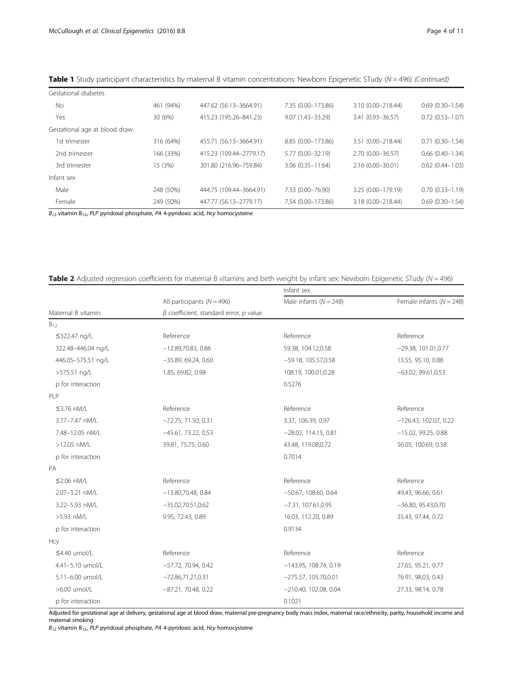| Gestational diabetes          |           |                         |                      |                    |                        |
|-------------------------------|-----------|-------------------------|----------------------|--------------------|------------------------|
| No.                           | 461 (94%) | 447.62 (56.13-3664.91)  | 7.35 (0.00-173.86)   | 3.10 (0.00-218.44) | $0.69(0.30 - 1.54)$    |
| Yes                           | 30 (6%)   | 415.23 (195.26-841.23)  | $9.07(1.43 - 33.29)$ | 3.41 (0.93-36.57)  | $0.72(0.53 - 1.07)$    |
| Gestational age at blood draw |           |                         |                      |                    |                        |
| 1st trimester                 | 316 (64%) | 455.71 (56.13-3664.91)  | 8.85 (0.00-173.86)   | 3.51 (0.00-218.44) | $0.71(0.30 - 1.54)$    |
| 2nd trimester                 | 166 (33%) | 415.23 (109.44-2779.17) | 5.77 (0.00-32.19)    | 2.70 (0.00-36.57)  | $0.66$ $(0.40 - 1.34)$ |
| 3rd trimester                 | 15 (3%)   | 301.80 (216.96-759.84)  | $3.06(0.35 - 11.64)$ | 2.16 (0.00-30.01)  | $0.62(0.44 - 1.03)$    |
| Infant sex                    |           |                         |                      |                    |                        |
| Male                          | 248 (50%) | 444.75 (109.44-3664.91) | 7.33 (0.00-76.90)    | 3.25 (0.00-179.19) | $0.70(0.33 - 1.19)$    |
| Female                        | 249 (50%) | 447.77 (56.13-2779.17)  | 7.54 (0.00-173.86)   | 3.18 (0.00-218.44) | $0.69(0.30 - 1.54)$    |

<span id="page-3-0"></span>Table 1 Study participant characteristics by maternal B vitamin concentrations: Newborn Epigenetic STudy ( $N = 496$ ) (Continued)

 $B_{12}$  vitamin  $B_{12}$ , PLP pyridoxal phosphate, PA 4-pyridoxic acid, Hcy homocysteine

## Table 2 Adjusted regression coefficients for maternal B vitamins and birth weight by infant sex: Newborn Epigenetic STudy ( $N = 496$ )

|                                            |                                              | Infant sex                                    |                              |  |  |
|--------------------------------------------|----------------------------------------------|-----------------------------------------------|------------------------------|--|--|
|                                            | All participants ( $N = 496$ )               | Male infants $(N = 248)$                      | Female infants ( $N = 248$ ) |  |  |
| Maternal B vitamin                         | $\beta$ coefficient, standard error, p value |                                               |                              |  |  |
| $\mathsf{B}_{12}$                          |                                              |                                               |                              |  |  |
| ≤322.47 ng/L                               | Reference                                    | Reference                                     | Reference                    |  |  |
| 322.48-446.04 ng/L                         | $-12.89,70.83,0.86$                          | 59.38, 104.12,0.58                            | $-29.38, 101.01, 0.77$       |  |  |
| 446.05-575.51 ng/L                         | $-35.89, 69.24, 0.60$                        | $-59.18, 105.57, 0.58$                        | 13.55, 95.10, 0.88           |  |  |
| >575.51 ng/L                               | 1.85, 69.82, 0.98                            | 108.19, 100.01,0.28                           | $-63.02, 99.61, 0.53$        |  |  |
| p for interaction                          |                                              | 0.5276                                        |                              |  |  |
| PLP                                        |                                              |                                               |                              |  |  |
| $\leq$ 3.76 nM/L                           | Reference                                    | Reference                                     | Reference                    |  |  |
| 3.77-7.47 nM/L                             | $-72.75, 71.50, 0.31$                        | 3.37, 106.39, 0.97                            | $-126.43, 102.07, 0.22$      |  |  |
| 7.48-12.05 nM/L                            | $-45.61, 73.22, 0.53$                        | $-28.02, 114.15, 0.81$                        | $-15.02$ , 99.25, 0.88       |  |  |
| >12.05 nM/L                                | 39.81, 75.75, 0.60                           | 43.48, 119.08, 0.72                           | 56.05, 100.69, 0.58          |  |  |
| p for interaction                          |                                              | 0.7014                                        |                              |  |  |
| PA                                         |                                              |                                               |                              |  |  |
| $\leq$ 2.06 nM/L                           | Reference                                    | Reference                                     | Reference                    |  |  |
| 2.07-3.21 nM/L                             | $-13.80,70.48, 0.84$                         | $-50.67, 108.60, 0.64$                        | 49.43, 96.66, 0.61           |  |  |
| 3.22-5.93 nM/L                             | $-35.02,70.51,0.62$                          | $-7.31, 107.61, 0.95$                         | $-36.80, 95.43, 0.70$        |  |  |
| >5.93 nM/L                                 | 9.95, 72.43, 0.89                            | 16.03, 112.20, 0.89                           | 35.43, 97.44, 0.72           |  |  |
| p for interaction                          |                                              | 0.9134                                        |                              |  |  |
| Hcy                                        |                                              |                                               |                              |  |  |
| $\leq$ 4.40 umol/L                         | Reference                                    | Reference                                     | Reference                    |  |  |
| 4.41-5.10 umol/L<br>$-57.72$ , 70.94, 0.42 |                                              | $-143.95, 108.74, 0.19$                       | 27.65, 95.21, 0.77           |  |  |
| 5.11-6.00 umol/L                           | $-72.86,71.21,0.31$                          | $-275.57, 105.70, 0.01$                       | 76.91, 98.03, 0.43           |  |  |
| >6.00 umol/L                               | $-87.21, 70.48, 0.22$                        | $-210.40, 102.08, 0.04$<br>27.33, 98.14, 0.78 |                              |  |  |
| p for interaction                          |                                              | 0.1021                                        |                              |  |  |

Adjusted for gestational age at delivery, gestational age at blood draw, maternal pre-pregnancy body mass index, maternal race/ethnicity, parity, household income and maternal smoking

 $B_{12}$  vitamin  $B_{12}$ , PLP pyridoxal phosphate, PA 4-pyridoxic acid, Hcy homocysteine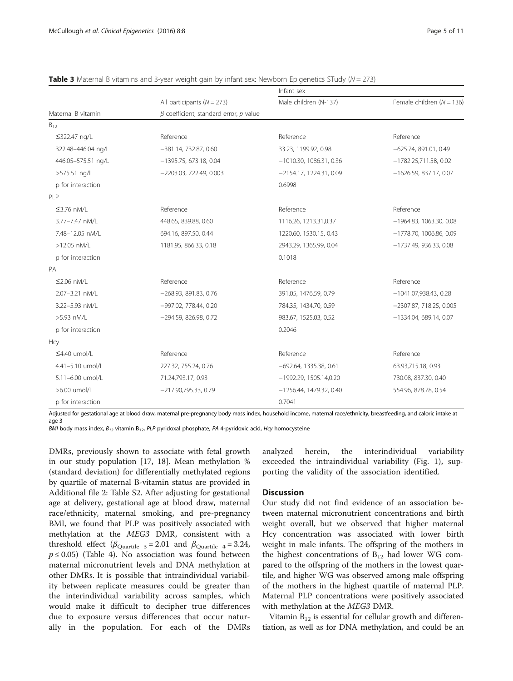|                                       |                                              | Infant sex                 |                               |  |  |
|---------------------------------------|----------------------------------------------|----------------------------|-------------------------------|--|--|
|                                       | All participants ( $N = 273$ )               | Male children (N-137)      | Female children ( $N = 136$ ) |  |  |
| Maternal B vitamin                    | $\beta$ coefficient, standard error, p value |                            |                               |  |  |
| $B_{12}$                              |                                              |                            |                               |  |  |
| ≤322.47 ng/L                          | Reference                                    | Reference                  | Reference                     |  |  |
| 322.48-446.04 ng/L                    | $-381.14$ , 732.87, 0.60                     | 33.23, 1199.92, 0.98       | $-625.74, 891.01, 0.49$       |  |  |
| 446.05-575.51 ng/L                    | $-1395.75, 673.18, 0.04$                     | $-1010.30, 1086.31, 0.36$  | $-1782.25711.58, 0.02$        |  |  |
| >575.51 ng/L                          | $-2203.03, 722.49, 0.003$                    | $-2154.17, 1224.31, 0.09$  | $-1626.59, 837.17, 0.07$      |  |  |
| p for interaction                     |                                              | 0.6998                     |                               |  |  |
| PI <sub>P</sub>                       |                                              |                            |                               |  |  |
| $\leq$ 3.76 nM/L                      | Reference                                    | Reference                  | Reference                     |  |  |
| 3.77-7.47 nM/L                        | 448.65, 839.88, 0.60                         | 1116.26, 1213.31,0.37      | $-1964.83, 1063.30, 0.08$     |  |  |
| 7.48-12.05 nM/L                       | 694.16, 897.50, 0.44                         | 1220.60, 1530.15, 0.43     | $-1778.70, 1006.86, 0.09$     |  |  |
| >12.05 nM/L<br>1181.95, 866.33, 0.18  |                                              | 2943.29, 1365.99, 0.04     | $-1737.49, 936.33, 0.08$      |  |  |
| p for interaction                     |                                              | 0.1018                     |                               |  |  |
| PA                                    |                                              |                            |                               |  |  |
| $\leq$ 2.06 nM/L                      | Reference                                    | Reference                  | Reference                     |  |  |
| 2.07-3.21 nM/L                        | $-268.93, 891.83, 0.76$                      | 391.05, 1476.59, 0.79      | $-1041.07,938.43,0.28$        |  |  |
| 3.22-5.93 nM/L                        | -997.02, 778.44, 0.20                        | 784.35, 1434.70, 0.59      | $-2307.87, 718.25, 0.005$     |  |  |
| $-294.59, 826.98, 0.72$<br>>5.93 nM/L |                                              | 983.67, 1525.03, 0.52      | $-1334.04, 689.14, 0.07$      |  |  |
| p for interaction                     |                                              | 0.2046                     |                               |  |  |
| <b>Hcy</b>                            |                                              |                            |                               |  |  |
| $\leq$ 4.40 umol/L                    | Reference                                    | Reference                  | Reference                     |  |  |
| 4.41-5.10 umol/L                      | 227.32, 755.24, 0.76                         | $-692.64, 1335.38, 0.61$   | 63.93,715.18, 0.93            |  |  |
| 5.11-6.00 umol/L                      | 71.24,793.17, 0.93                           | $-1992.29, 1505.14.0.20$   | 730.08, 837.30, 0.40          |  |  |
| >6.00 umol/L                          | $-217.90,795.33, 0.79$                       | $-1256.44$ , 1479.32, 0.40 | 554.96, 878.78, 0.54          |  |  |
| p for interaction                     |                                              | 0.7041                     |                               |  |  |

<span id="page-4-0"></span>**Table 3** Maternal B vitamins and 3-year weight gain by infant sex: Newborn Epigenetics STudy ( $N = 273$ )

Adjusted for gestational age at blood draw, maternal pre-pregnancy body mass index, household income, maternal race/ethnicity, breastfeeding, and caloric intake at age 3

BMI body mass index,  $B_{12}$  vitamin B<sub>12</sub>, PLP pyridoxal phosphate, PA 4-pyridoxic acid, Hcy homocysteine

DMRs, previously shown to associate with fetal growth in our study population [\[17](#page-9-0), [18\]](#page-9-0). Mean methylation % (standard deviation) for differentially methylated regions by quartile of maternal B-vitamin status are provided in Additional file [2](#page-9-0): Table S2. After adjusting for gestational age at delivery, gestational age at blood draw, maternal race/ethnicity, maternal smoking, and pre-pregnancy BMI, we found that PLP was positively associated with methylation at the MEG3 DMR, consistent with a threshold effect ( $\beta_{\text{Quartile } 3} = 2.01$  and  $\beta_{\text{Quartile } 4} = 3.24$ ,  $p \le 0.05$ ) (Table [4](#page-5-0)). No association was found between maternal micronutrient levels and DNA methylation at other DMRs. It is possible that intraindividual variability between replicate measures could be greater than the interindividual variability across samples, which would make it difficult to decipher true differences due to exposure versus differences that occur naturally in the population. For each of the DMRs

analyzed herein, the interindividual variability exceeded the intraindividual variability (Fig. [1](#page-5-0)), supporting the validity of the association identified.

## **Discussion**

Our study did not find evidence of an association between maternal micronutrient concentrations and birth weight overall, but we observed that higher maternal Hcy concentration was associated with lower birth weight in male infants. The offspring of the mothers in the highest concentrations of  $B_{12}$  had lower WG compared to the offspring of the mothers in the lowest quartile, and higher WG was observed among male offspring of the mothers in the highest quartile of maternal PLP. Maternal PLP concentrations were positively associated with methylation at the MEG3 DMR.

Vitamin  $B_{12}$  is essential for cellular growth and differentiation, as well as for DNA methylation, and could be an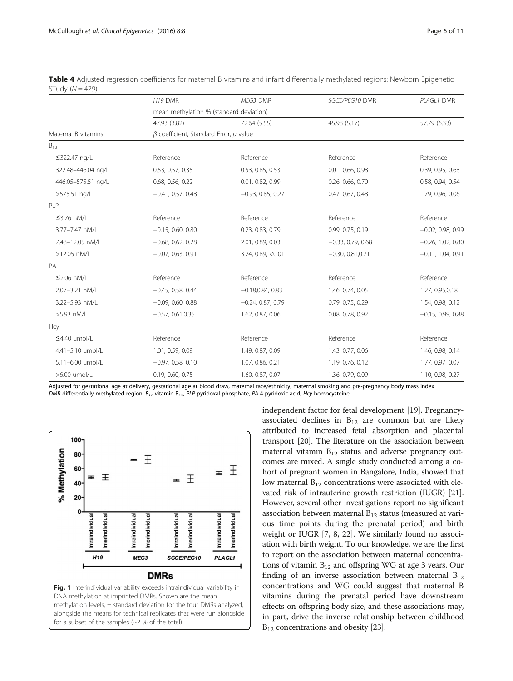|                     | H19 DMR                                      | MEG3 DMR            | SGCE/PEG10 DMR      | PLAGL1 DMR          |  |  |
|---------------------|----------------------------------------------|---------------------|---------------------|---------------------|--|--|
|                     | mean methylation % (standard deviation)      |                     |                     |                     |  |  |
|                     | 47.93 (3.82)                                 | 72.64 (5.55)        | 45.98 (5.17)        | 57.79 (6.33)        |  |  |
| Maternal B vitamins | $\beta$ coefficient, Standard Error, p value |                     |                     |                     |  |  |
| $B_{12}$            |                                              |                     |                     |                     |  |  |
| ≤322.47 ng/L        | Reference                                    | Reference           | Reference           | Reference           |  |  |
| 322.48-446.04 ng/L  | 0.53, 0.57, 0.35                             | 0.53, 0.85, 0.53    | 0.01, 0.66, 0.98    | 0.39, 0.95, 0.68    |  |  |
| 446.05-575.51 ng/L  | 0.68, 0.56, 0.22                             | 0.01, 0.82, 0.99    | 0.26, 0.66, 0.70    | 0.58, 0.94, 0.54    |  |  |
| >575.51 ng/L        | $-0.41, 0.57, 0.48$                          | $-0.93, 0.85, 0.27$ | 0.47, 0.67, 0.48    | 1.79, 0.96, 0.06    |  |  |
| PLP                 |                                              |                     |                     |                     |  |  |
| $\leq$ 3.76 nM/L    | Reference                                    | Reference           | Reference           | Reference           |  |  |
| 3.77-7.47 nM/L      | $-0.15, 0.60, 0.80$                          | 0.23, 0.83, 0.79    | 0.99, 0.75, 0.19    | $-0.02, 0.98, 0.99$ |  |  |
| 7.48-12.05 nM/L     | $-0.68, 0.62, 0.28$                          | 2.01, 0.89, 0.03    | $-0.33, 0.79, 0.68$ | $-0.26, 1.02, 0.80$ |  |  |
| >12.05 nM/L         | $-0.07, 0.63, 0.91$                          | 3.24, 0.89, <0.01   | $-0.30, 0.81, 0.71$ | $-0.11, 1.04, 0.91$ |  |  |
| PA                  |                                              |                     |                     |                     |  |  |
| $\leq$ 2.06 nM/L    | Reference                                    | Reference           | Reference           | Reference           |  |  |
| 2.07-3.21 nM/L      | $-0.45, 0.58, 0.44$                          | $-0.18, 0.84, 0.83$ | 1.46, 0.74, 0.05    | 1.27, 0.95, 0.18    |  |  |
| 3.22-5.93 nM/L      | $-0.09, 0.60, 0.88$                          | $-0.24, 0.87, 0.79$ | 0.79, 0.75, 0.29    | 1.54, 0.98, 0.12    |  |  |
| >5.93 nM/L          | $-0.57, 0.61, 0.35$                          | 1.62, 0.87, 0.06    | 0.08, 0.78, 0.92    | $-0.15, 0.99, 0.88$ |  |  |
| Hcy                 |                                              |                     |                     |                     |  |  |
| $\leq$ 4.40 umol/L  | Reference                                    | Reference           | Reference           | Reference           |  |  |
| 4.41-5.10 umol/L    | 1.01, 0.59, 0.09                             | 1.49, 0.87, 0.09    | 1.43, 0.77, 0.06    | 1.46, 0.98, 0.14    |  |  |
| 5.11-6.00 umol/L    | $-0.97, 0.58, 0.10$                          | 1.07, 0.86, 0.21    | 1.19, 0.76, 0.12    | 1.77, 0.97, 0.07    |  |  |
| >6.00 umol/L        | 0.19, 0.60, 0.75                             | 1.60, 0.87, 0.07    | 1.36, 0.79, 0.09    | 1.10, 0.98, 0.27    |  |  |

<span id="page-5-0"></span>Table 4 Adjusted regression coefficients for maternal B vitamins and infant differentially methylated regions: Newborn Epigenetic STudy  $(N = 429)$ 

Adjusted for gestational age at delivery, gestational age at blood draw, maternal race/ethnicity, maternal smoking and pre-pregnancy body mass index DMR differentially methylated region,  $B_{12}$  vitamin  $B_{12}$ , PLP pyridoxal phosphate, PA 4-pyridoxic acid, Hcy homocysteine



independent factor for fetal development [[19](#page-9-0)]. Pregnancyassociated declines in  $B_{12}$  are common but are likely attributed to increased fetal absorption and placental transport [\[20](#page-9-0)]. The literature on the association between maternal vitamin  $B_{12}$  status and adverse pregnancy outcomes are mixed. A single study conducted among a cohort of pregnant women in Bangalore, India, showed that low maternal  $B_{12}$  concentrations were associated with elevated risk of intrauterine growth restriction (IUGR) [[21](#page-9-0)]. However, several other investigations report no significant association between maternal  $B_{12}$  status (measured at various time points during the prenatal period) and birth weight or IUGR [[7](#page-9-0), [8, 22](#page-9-0)]. We similarly found no association with birth weight. To our knowledge, we are the first to report on the association between maternal concentrations of vitamin  $B_{12}$  and offspring WG at age 3 years. Our finding of an inverse association between maternal  $B_{12}$ concentrations and WG could suggest that maternal B vitamins during the prenatal period have downstream effects on offspring body size, and these associations may, in part, drive the inverse relationship between childhood  $B_{12}$  concentrations and obesity [\[23\]](#page-9-0).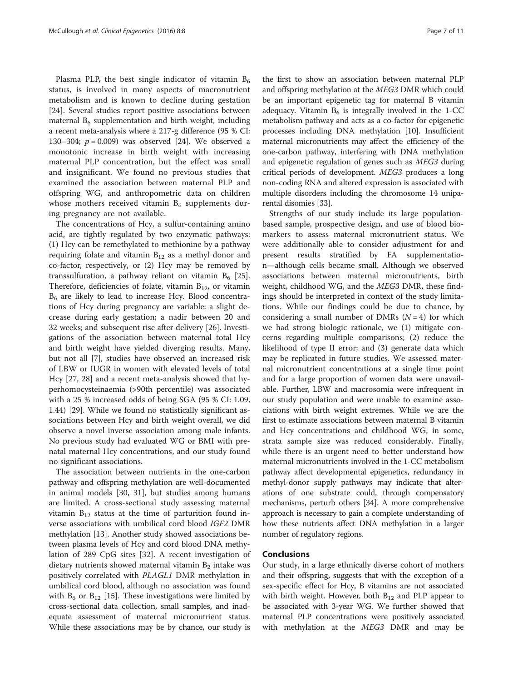Plasma PLP, the best single indicator of vitamin  $B_6$ status, is involved in many aspects of macronutrient metabolism and is known to decline during gestation [[24\]](#page-9-0). Several studies report positive associations between maternal  $B_6$  supplementation and birth weight, including a recent meta-analysis where a 217-g difference (95 % CI: 130–304;  $p = 0.009$ ) was observed [\[24](#page-9-0)]. We observed a monotonic increase in birth weight with increasing maternal PLP concentration, but the effect was small and insignificant. We found no previous studies that examined the association between maternal PLP and offspring WG, and anthropometric data on children whose mothers received vitamin  $B_6$  supplements during pregnancy are not available.

The concentrations of Hcy, a sulfur-containing amino acid, are tightly regulated by two enzymatic pathways: (1) Hcy can be remethylated to methionine by a pathway requiring folate and vitamin  $B_{12}$  as a methyl donor and co-factor, respectively, or (2) Hcy may be removed by transsulfuration, a pathway reliant on vitamin  $B_6$  [\[25](#page-9-0)]. Therefore, deficiencies of folate, vitamin  $B_{12}$ , or vitamin  $B<sub>6</sub>$  are likely to lead to increase Hcy. Blood concentrations of Hcy during pregnancy are variable: a slight decrease during early gestation; a nadir between 20 and 32 weeks; and subsequent rise after delivery [[26\]](#page-9-0). Investigations of the association between maternal total Hcy and birth weight have yielded diverging results. Many, but not all [\[7](#page-9-0)], studies have observed an increased risk of LBW or IUGR in women with elevated levels of total Hcy [\[27](#page-9-0), [28\]](#page-9-0) and a recent meta-analysis showed that hyperhomocysteinaemia (>90th percentile) was associated with a 25 % increased odds of being SGA (95 % CI: 1.09, 1.44) [\[29](#page-9-0)]. While we found no statistically significant associations between Hcy and birth weight overall, we did observe a novel inverse association among male infants. No previous study had evaluated WG or BMI with prenatal maternal Hcy concentrations, and our study found no significant associations.

The association between nutrients in the one-carbon pathway and offspring methylation are well-documented in animal models [\[30](#page-9-0), [31\]](#page-9-0), but studies among humans are limited. A cross-sectional study assessing maternal vitamin  $B_{12}$  status at the time of parturition found inverse associations with umbilical cord blood IGF2 DMR methylation [[13](#page-9-0)]. Another study showed associations between plasma levels of Hcy and cord blood DNA methylation of 289 CpG sites [\[32\]](#page-9-0). A recent investigation of dietary nutrients showed maternal vitamin  $B_2$  intake was positively correlated with PLAGL1 DMR methylation in umbilical cord blood, although no association was found with  $B_6$  or  $B_{12}$  [[15\]](#page-9-0). These investigations were limited by cross-sectional data collection, small samples, and inadequate assessment of maternal micronutrient status. While these associations may be by chance, our study is

the first to show an association between maternal PLP and offspring methylation at the MEG3 DMR which could be an important epigenetic tag for maternal B vitamin adequacy. Vitamin  $B_6$  is integrally involved in the 1-CC metabolism pathway and acts as a co-factor for epigenetic processes including DNA methylation [\[10](#page-9-0)]. Insufficient maternal micronutrients may affect the efficiency of the one-carbon pathway, interfering with DNA methylation and epigenetic regulation of genes such as MEG3 during critical periods of development. MEG3 produces a long non-coding RNA and altered expression is associated with multiple disorders including the chromosome 14 uniparental disomies [\[33\]](#page-10-0).

Strengths of our study include its large populationbased sample, prospective design, and use of blood biomarkers to assess maternal micronutrient status. We were additionally able to consider adjustment for and present results stratified by FA supplementation—although cells became small. Although we observed associations between maternal micronutrients, birth weight, childhood WG, and the MEG3 DMR, these findings should be interpreted in context of the study limitations. While our findings could be due to chance, by considering a small number of DMRs  $(N = 4)$  for which we had strong biologic rationale, we (1) mitigate concerns regarding multiple comparisons; (2) reduce the likelihood of type II error; and (3) generate data which may be replicated in future studies. We assessed maternal micronutrient concentrations at a single time point and for a large proportion of women data were unavailable. Further, LBW and macrosomia were infrequent in our study population and were unable to examine associations with birth weight extremes. While we are the first to estimate associations between maternal B vitamin and Hcy concentrations and childhood WG, in some, strata sample size was reduced considerably. Finally, while there is an urgent need to better understand how maternal micronutrients involved in the 1-CC metabolism pathway affect developmental epigenetics, redundancy in methyl-donor supply pathways may indicate that alterations of one substrate could, through compensatory mechanisms, perturb others [\[34](#page-10-0)]. A more comprehensive approach is necessary to gain a complete understanding of how these nutrients affect DNA methylation in a larger number of regulatory regions.

## Conclusions

Our study, in a large ethnically diverse cohort of mothers and their offspring, suggests that with the exception of a sex-specific effect for Hcy, B vitamins are not associated with birth weight. However, both  $B_{12}$  and PLP appear to be associated with 3-year WG. We further showed that maternal PLP concentrations were positively associated with methylation at the MEG3 DMR and may be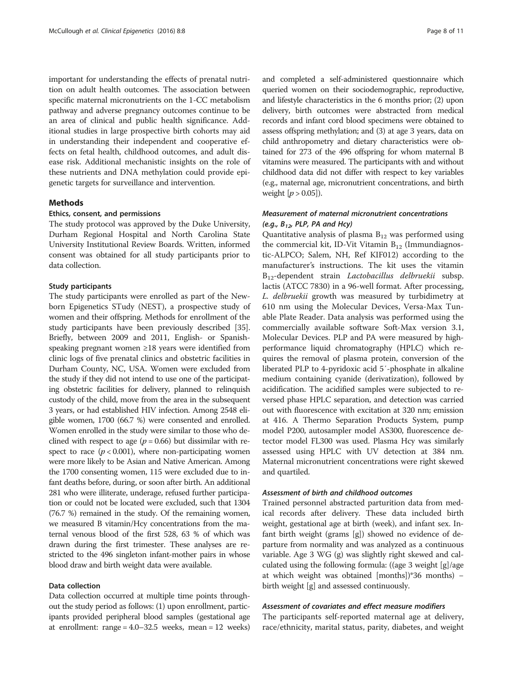important for understanding the effects of prenatal nutrition on adult health outcomes. The association between specific maternal micronutrients on the 1-CC metabolism pathway and adverse pregnancy outcomes continue to be an area of clinical and public health significance. Additional studies in large prospective birth cohorts may aid in understanding their independent and cooperative effects on fetal health, childhood outcomes, and adult disease risk. Additional mechanistic insights on the role of these nutrients and DNA methylation could provide epigenetic targets for surveillance and intervention.

## Methods

### Ethics, consent, and permissions

The study protocol was approved by the Duke University, Durham Regional Hospital and North Carolina State University Institutional Review Boards. Written, informed consent was obtained for all study participants prior to data collection.

## Study participants

The study participants were enrolled as part of the Newborn Epigenetics STudy (NEST), a prospective study of women and their offspring. Methods for enrollment of the study participants have been previously described [[35](#page-10-0)]. Briefly, between 2009 and 2011, English- or Spanishspeaking pregnant women ≥18 years were identified from clinic logs of five prenatal clinics and obstetric facilities in Durham County, NC, USA. Women were excluded from the study if they did not intend to use one of the participating obstetric facilities for delivery, planned to relinquish custody of the child, move from the area in the subsequent 3 years, or had established HIV infection. Among 2548 eligible women, 1700 (66.7 %) were consented and enrolled. Women enrolled in the study were similar to those who declined with respect to age ( $p = 0.66$ ) but dissimilar with respect to race  $(p < 0.001)$ , where non-participating women were more likely to be Asian and Native American. Among the 1700 consenting women, 115 were excluded due to infant deaths before, during, or soon after birth. An additional 281 who were illiterate, underage, refused further participation or could not be located were excluded, such that 1304 (76.7 %) remained in the study. Of the remaining women, we measured B vitamin/Hcy concentrations from the maternal venous blood of the first 528, 63 % of which was drawn during the first trimester. These analyses are restricted to the 496 singleton infant-mother pairs in whose blood draw and birth weight data were available.

## Data collection

Data collection occurred at multiple time points throughout the study period as follows: (1) upon enrollment, participants provided peripheral blood samples (gestational age at enrollment: range = 4.0–32.5 weeks, mean = 12 weeks) and completed a self-administered questionnaire which queried women on their sociodemographic, reproductive, and lifestyle characteristics in the 6 months prior; (2) upon delivery, birth outcomes were abstracted from medical records and infant cord blood specimens were obtained to assess offspring methylation; and (3) at age 3 years, data on child anthropometry and dietary characteristics were obtained for 273 of the 496 offspring for whom maternal B vitamins were measured. The participants with and without childhood data did not differ with respect to key variables (e.g., maternal age, micronutrient concentrations, and birth weight  $[p > 0.05]$ ).

## Measurement of maternal micronutrient concentrations (e.g.,  $B_{12}$ , PLP, PA and Hcy)

Quantitative analysis of plasma  $B_{12}$  was performed using the commercial kit, ID-Vit Vitamin  $B_{12}$  (Immundiagnostic-ALPCO; Salem, NH, Ref KIF012) according to the manufacturer's instructions. The kit uses the vitamin  $B_{12}$ -dependent strain *Lactobacillus delbruekii* subsp. lactis (ATCC 7830) in a 96-well format. After processing, L. delbruekii growth was measured by turbidimetry at 610 nm using the Molecular Devices, Versa-Max Tunable Plate Reader. Data analysis was performed using the commercially available software Soft-Max version 3.1, Molecular Devices. PLP and PA were measured by highperformance liquid chromatography (HPLC) which requires the removal of plasma protein, conversion of the liberated PLP to 4-pyridoxic acid 5′-phosphate in alkaline medium containing cyanide (derivatization), followed by acidification. The acidified samples were subjected to reversed phase HPLC separation, and detection was carried out with fluorescence with excitation at 320 nm; emission at 416. A Thermo Separation Products System, pump model P200, autosampler model AS300, fluorescence detector model FL300 was used. Plasma Hcy was similarly assessed using HPLC with UV detection at 384 nm. Maternal micronutrient concentrations were right skewed and quartiled.

## Assessment of birth and childhood outcomes

Trained personnel abstracted parturition data from medical records after delivery. These data included birth weight, gestational age at birth (week), and infant sex. Infant birth weight (grams [g]) showed no evidence of departure from normality and was analyzed as a continuous variable. Age 3 WG (g) was slightly right skewed and calculated using the following formula: ((age 3 weight [g]/age at which weight was obtained [months])\*36 months) − birth weight [g] and assessed continuously.

## Assessment of covariates and effect measure modifiers

The participants self-reported maternal age at delivery, race/ethnicity, marital status, parity, diabetes, and weight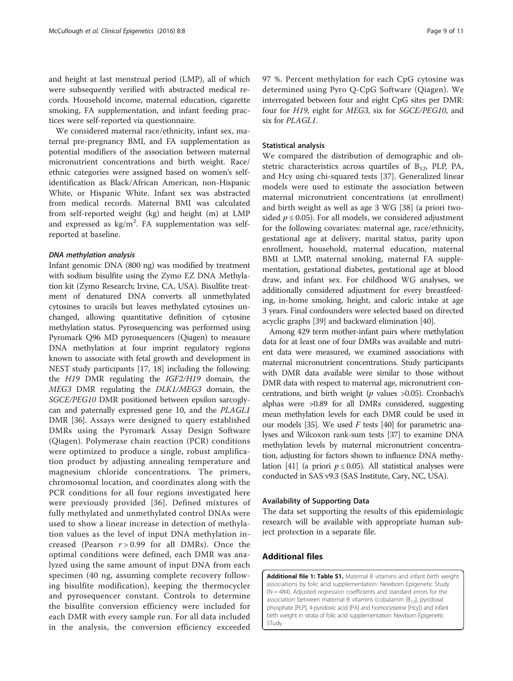<span id="page-8-0"></span>and height at last menstrual period (LMP), all of which were subsequently verified with abstracted medical records. Household income, maternal education, cigarette smoking, FA supplementation, and infant feeding practices were self-reported via questionnaire.

We considered maternal race/ethnicity, infant sex, maternal pre-pregnancy BMI, and FA supplementation as potential modifiers of the association between maternal micronutrient concentrations and birth weight. Race/ ethnic categories were assigned based on women's selfidentification as Black/African American, non-Hispanic White, or Hispanic White. Infant sex was abstracted from medical records. Maternal BMI was calculated from self-reported weight (kg) and height (m) at LMP and expressed as  $\text{kg/m}^2$ . FA supplementation was selfreported at baseline.

### DNA methylation analysis

Infant genomic DNA (800 ng) was modified by treatment with sodium bisulfite using the Zymo EZ DNA Methylation kit (Zymo Research; Irvine, CA, USA). Bisulfite treatment of denatured DNA converts all unmethylated cytosines to uracils but leaves methylated cytosines unchanged, allowing quantitative definition of cytosine methylation status. Pyrosequencing was performed using Pyromark Q96 MD pyrosequencers (Qiagen) to measure DNA methylation at four imprint regulatory regions known to associate with fetal growth and development in NEST study participants [[17](#page-9-0), [18\]](#page-9-0) including the following: the H19 DMR regulating the IGF2/H19 domain, the MEG3 DMR regulating the DLK1/MEG3 domain, the SGCE/PEG10 DMR positioned between epsilon sarcoglycan and paternally expressed gene 10, and the PLAGL1 DMR [\[36\]](#page-10-0). Assays were designed to query established DMRs using the Pyromark Assay Design Software (Qiagen). Polymerase chain reaction (PCR) conditions were optimized to produce a single, robust amplification product by adjusting annealing temperature and magnesium chloride concentrations. The primers, chromosomal location, and coordinates along with the PCR conditions for all four regions investigated here were previously provided [\[36\]](#page-10-0). Defined mixtures of fully methylated and unmethylated control DNAs were used to show a linear increase in detection of methylation values as the level of input DNA methylation increased (Pearson  $r > 0.99$  for all DMRs). Once the optimal conditions were defined, each DMR was analyzed using the same amount of input DNA from each specimen (40 ng, assuming complete recovery following bisulfite modification), keeping the thermocycler and pyrosequencer constant. Controls to determine the bisulfite conversion efficiency were included for each DMR with every sample run. For all data included in the analysis, the conversion efficiency exceeded 97 %. Percent methylation for each CpG cytosine was determined using Pyro Q-CpG Software (Qiagen). We interrogated between four and eight CpG sites per DMR: four for H19, eight for MEG3, six for SGCE/PEG10, and six for PLAGL1.

## Statistical analysis

We compared the distribution of demographic and obstetric characteristics across quartiles of  $B_{12}$ , PLP, PA, and Hcy using chi-squared tests [[37\]](#page-10-0). Generalized linear models were used to estimate the association between maternal micronutrient concentrations (at enrollment) and birth weight as well as age 3 WG [[38\]](#page-10-0) (a priori twosided  $p \le 0.05$ ). For all models, we considered adjustment for the following covariates: maternal age, race/ethnicity, gestational age at delivery, marital status, parity upon enrollment, household, maternal education, maternal BMI at LMP, maternal smoking, maternal FA supplementation, gestational diabetes, gestational age at blood draw, and infant sex. For childhood WG analyses, we additionally considered adjustment for every breastfeeding, in-home smoking, height, and caloric intake at age 3 years. Final confounders were selected based on directed acyclic graphs [\[39\]](#page-10-0) and backward elimination [[40](#page-10-0)].

Among 429 term mother-infant pairs where methylation data for at least one of four DMRs was available and nutrient data were measured, we examined associations with maternal micronutrient concentrations. Study participants with DMR data available were similar to those without DMR data with respect to maternal age, micronutrient concentrations, and birth weight ( $p$  values  $>0.05$ ). Cronbach's alphas were >0.89 for all DMRs considered, suggesting mean methylation levels for each DMR could be used in our models [\[35\]](#page-10-0). We used  $F$  tests [\[40\]](#page-10-0) for parametric analyses and Wilcoxon rank-sum tests [[37](#page-10-0)] to examine DNA methylation levels by maternal micronutrient concentration, adjusting for factors shown to influence DNA methy-lation [\[41\]](#page-10-0) (a priori  $p \le 0.05$ ). All statistical analyses were conducted in SAS v9.3 (SAS Institute, Cary, NC, USA).

#### Availability of Supporting Data

The data set supporting the results of this epidemiologic research will be available with appropriate human subject protection in a separate file.

## Additional files

[Additional file 1: Table S1.](dx.doi.org/10.1186/s13148-016-0174-9) Maternal B vitamins and infant birth weight associations by folic acid supplementation: Newborn Epigenetic Study  $(N = 484)$ . Adjusted regression coefficients and standard errors for the association between maternal B vitamins (cobalamin  $[B_{12}]$ , pyridoxal phosphate [PLP], 4-pyridoxic acid [PA] and homocysteine [Hcy]) and infant birth weight in strata of folic acid supplementation: Newborn Epigenetic STudy.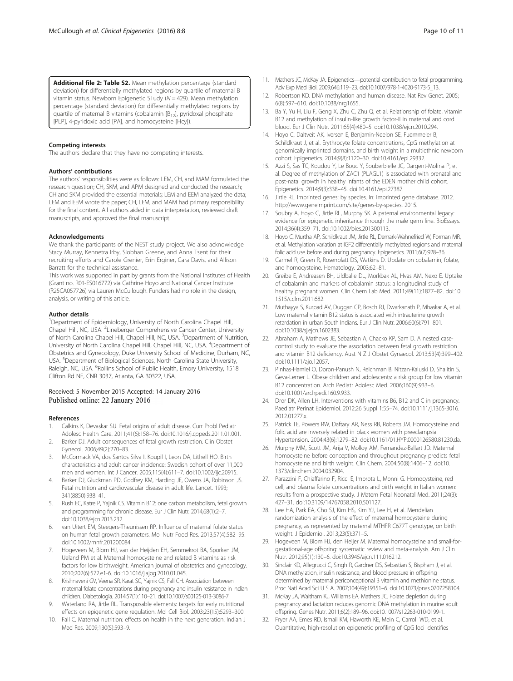<span id="page-9-0"></span>[Additional file 2: Table S2.](dx.doi.org/10.1186/s13148-016-0174-9) Mean methylation percentage (standard deviation) for differentially methylated regions by quartile of maternal B vitamin status. Newborn Epigenetic STudy ( $N = 429$ ). Mean methylation percentage (standard deviation) for differentially methylated regions by quartile of maternal B vitamins (cobalamin  $[B_{12}]$ , pyridoxal phosphate [PLP], 4-pyridoxic acid [PA], and homocysteine [Hcy]).

#### Competing interests

The authors declare that they have no competing interests.

#### Authors' contributions

The authors' responsibilities were as follows: LEM, CH, and MAM formulated the research question; CH, SKM, and APM designed and conducted the research; CH and SKM provided the essential materials; LEM and EEM analyzed the data; LEM and EEM wrote the paper; CH, LEM, and MAM had primary responsibility for the final content. All authors aided in data interpretation, reviewed draft manuscripts, and approved the final manuscript.

#### Acknowledgements

We thank the participants of the NEST study project. We also acknowledge Stacy Murray, Kennetra Irby, Siobhan Greene, and Anna Tsent for their recruiting efforts and Carole Grenier, Erin Erginer, Cara Davis, and Allison Barratt for the technical assistance.

This work was supported in part by grants from the National Institutes of Health (Grant no. R01-ES016772) via Cathrine Hoyo and National Cancer Institute (R25CA057726) via Lauren McCullough. Funders had no role in the design, analysis, or writing of this article.

#### Author details

<sup>1</sup>Department of Epidemiology, University of North Carolina Chapel Hill, Chapel Hill, NC, USA. <sup>2</sup> Lineberger Comprehensive Cancer Center, University of North Carolina Chapel Hill, Chapel Hill, NC, USA. <sup>3</sup>Department of Nutrition, University of North Carolina Chapel Hill, Chapel Hill, NC, USA. <sup>4</sup>Department of Obstetrics and Gynecology, Duke University School of Medicine, Durham, NC, USA. <sup>5</sup>Department of Biological Sciences, North Carolina State University, Raleigh, NC, USA. <sup>6</sup>Rollins School of Public Health, Emory University, 1518 Clifton Rd NE, CNR 3037, Atlanta, GA 30322, USA.

#### Received: 5 November 2015 Accepted: 14 January 2016 Published online: 22 January 2016

#### References

- 1. Calkins K, Devaskar SU. Fetal origins of adult disease. Curr Probl Pediatr Adolesc Health Care. 2011;41(6):158–76. doi[:10.1016/j.cppeds.2011.01.001.](http://dx.doi.org/10.1016/j.cppeds.2011.01.001)
- 2. Barker DJ. Adult consequences of fetal growth restriction. Clin Obstet Gynecol. 2006;49(2):270–83.
- 3. McCormack VA, dos Santos Silva I, Koupil I, Leon DA, Lithell HO. Birth characteristics and adult cancer incidence: Swedish cohort of over 11,000 men and women. Int J Cancer. 2005;115(4):611–7. doi[:10.1002/ijc.20915.](http://dx.doi.org/10.1002/ijc.20915)
- 4. Barker DJ, Gluckman PD, Godfrey KM, Harding JE, Owens JA, Robinson JS. Fetal nutrition and cardiovascular disease in adult life. Lancet. 1993; 341(8850):938–41.
- 5. Rush EC, Katre P, Yajnik CS. Vitamin B12: one carbon metabolism, fetal growth and programming for chronic disease. Eur J Clin Nutr. 2014;68(1):2–7. doi:[10.1038/ejcn.2013.232.](http://dx.doi.org/10.1038/ejcn.2013.232)
- 6. van Uitert EM, Steegers-Theunissen RP. Influence of maternal folate status on human fetal growth parameters. Mol Nutr Food Res. 2013;57(4):582–95. doi[:10.1002/mnfr.201200084.](http://dx.doi.org/10.1002/mnfr.201200084)
- 7. Hogeveen M, Blom HJ, van der Heijden EH, Semmekrot BA, Sporken JM, Ueland PM et al. Maternal homocysteine and related B vitamins as risk factors for low birthweight. American journal of obstetrics and gynecology. 2010;202(6):572.e1-6. doi[:10.1016/j.ajog.2010.01.045.](http://dx.doi.org/10.1016/j.ajog.2010.01.045)
- 8. Krishnaveni GV, Veena SR, Karat SC, Yajnik CS, Fall CH. Association between maternal folate concentrations during pregnancy and insulin resistance in Indian children. Diabetologia. 2014;57(1):110–21. doi[:10.1007/s00125-013-3086-7](http://dx.doi.org/10.1007/s00125-013-3086-7).
- 9. Waterland RA, Jirtle RL. Transposable elements: targets for early nutritional effects on epigenetic gene regulation. Mol Cell Biol. 2003;23(15):5293–300.
- 10. Fall C. Maternal nutrition: effects on health in the next generation. Indian J Med Res. 2009;130(5):593–9.
- 12. Robertson KD. DNA methylation and human disease. Nat Rev Genet. 2005; 6(8):597–610. doi[:10.1038/nrg1655.](http://dx.doi.org/10.1038/nrg1655)
- 13. Ba Y, Yu H, Liu F, Geng X, Zhu C, Zhu Q, et al. Relationship of folate, vitamin B12 and methylation of insulin-like growth factor-II in maternal and cord blood. Eur J Clin Nutr. 2011;65(4):480–5. doi[:10.1038/ejcn.2010.294](http://dx.doi.org/10.1038/ejcn.2010.294).
- 14. Hoyo C, Daltveit AK, Iversen E, Benjamin-Neelon SE, Fuemmeler B, Schildkraut J, et al. Erythrocyte folate concentrations, CpG methylation at genomically imprinted domains, and birth weight in a multiethnic newborn cohort. Epigenetics. 2014;9(8):1120–30. doi:[10.4161/epi.29332.](http://dx.doi.org/10.4161/epi.29332)
- 15. Azzi S, Sas TC, Koudou Y, Le Bouc Y, Souberbielle JC, Dargent-Molina P, et al. Degree of methylation of ZAC1 (PLAGL1) is associated with prenatal and post-natal growth in healthy infants of the EDEN mother child cohort. Epigenetics. 2014;9(3):338–45. doi[:10.4161/epi.27387](http://dx.doi.org/10.4161/epi.27387).
- 16. Jirtle RL. Imprinted genes: by species. In: Imprinted gene database. 2012. <http://www.geneimprint.com/site/genes-by-species>. 2015.
- 17. Soubry A, Hoyo C, Jirtle RL, Murphy SK. A paternal environmental legacy: evidence for epigenetic inheritance through the male germ line. BioEssays. 2014;36(4):359–71. doi:[10.1002/bies.201300113](http://dx.doi.org/10.1002/bies.201300113).
- 18. Hoyo C, Murtha AP, Schildkraut JM, Jirtle RL, Demark-Wahnefried W, Forman MR, et al. Methylation variation at IGF2 differentially methylated regions and maternal folic acid use before and during pregnancy. Epigenetics. 2011;6(7):928–36.
- 19. Carmel R, Green R, Rosenblatt DS, Watkins D. Update on cobalamin, folate, and homocysteine. Hematology. 2003;62–81.
- 20. Greibe E, Andreasen BH, Lildballe DL, Morkbak AL, Hvas AM, Nexo E. Uptake of cobalamin and markers of cobalamin status: a longitudinal study of healthy pregnant women. Clin Chem Lab Med. 2011;49(11):1877–82. doi:[10.](http://dx.doi.org/10.1515/cclm.2011.682) [1515/cclm.2011.682.](http://dx.doi.org/10.1515/cclm.2011.682)
- 21. Muthayya S, Kurpad AV, Duggan CP, Bosch RJ, Dwarkanath P, Mhaskar A, et al. Low maternal vitamin B12 status is associated with intrauterine growth retardation in urban South Indians. Eur J Clin Nutr. 2006;60(6):791–801. doi:[10.1038/sj.ejcn.1602383.](http://dx.doi.org/10.1038/sj.ejcn.1602383)
- 22. Abraham A, Mathews JE, Sebastian A, Chacko KP, Sam D. A nested casecontrol study to evaluate the association between fetal growth restriction and vitamin B12 deficiency. Aust N Z J Obstet Gynaecol. 2013;53(4):399–402. doi[:10.1111/ajo.12057.](http://dx.doi.org/10.1111/ajo.12057)
- 23. Pinhas-Hamiel O, Doron-Panush N, Reichman B, Nitzan-Kaluski D, Shalitin S, Geva-Lerner L. Obese children and adolescents: a risk group for low vitamin B12 concentration. Arch Pediatr Adolesc Med. 2006;160(9):933–6. doi[:10.1001/archpedi.160.9.933](http://dx.doi.org/10.1001/archpedi.160.9.933).
- 24. Dror DK, Allen LH. Interventions with vitamins B6, B12 and C in pregnancy. Paediatr Perinat Epidemiol. 2012;26 Suppl 1:55–74. doi:[10.1111/j.1365-3016.](http://dx.doi.org/10.1111/j.1365-3016.2012.01277.x) [2012.01277.x.](http://dx.doi.org/10.1111/j.1365-3016.2012.01277.x)
- 25. Patrick TE, Powers RW, Daftary AR, Ness RB, Roberts JM. Homocysteine and folic acid are inversely related in black women with preeclampsia. Hypertension. 2004;43(6):1279–82. doi:[10.1161/01.HYP.0000126580.81230.da](http://dx.doi.org/10.1161/01.HYP.0000126580.81230.da).
- 26. Murphy MM, Scott JM, Arija V, Molloy AM, Fernandez-Ballart JD. Maternal homocysteine before conception and throughout pregnancy predicts fetal homocysteine and birth weight. Clin Chem. 2004;50(8):1406–12. doi:[10.](http://dx.doi.org/10.1373/clinchem.2004.032904) [1373/clinchem.2004.032904](http://dx.doi.org/10.1373/clinchem.2004.032904).
- 27. Parazzini F, Chiaffarino F, Ricci E, Improta L, Monni G. Homocysteine, red cell, and plasma folate concentrations and birth weight in Italian women: results from a prospective study. J Matern Fetal Neonatal Med. 2011;24(3): 427–31. doi:[10.3109/14767058.2010.501127.](http://dx.doi.org/10.3109/14767058.2010.501127)
- 28. Lee HA, Park EA, Cho SJ, Kim HS, Kim YJ, Lee H, et al. Mendelian randomization analysis of the effect of maternal homocysteine during pregnancy, as represented by maternal MTHFR C677T genotype, on birth weight. J Epidemiol. 2013;23(5):371–5.
- 29. Hogeveen M, Blom HJ, den Heijer M. Maternal homocysteine and small-forgestational-age offspring: systematic review and meta-analysis. Am J Clin Nutr. 2012;95(1):130–6. doi[:10.3945/ajcn.111.016212](http://dx.doi.org/10.3945/ajcn.111.016212).
- 30. Sinclair KD, Allegrucci C, Singh R, Gardner DS, Sebastian S, Bispham J, et al. DNA methylation, insulin resistance, and blood pressure in offspring determined by maternal periconceptional B vitamin and methionine status. Proc Natl Acad Sci U S A. 2007;104(49):19351–6. doi:[10.1073/pnas.0707258104](http://dx.doi.org/10.1073/pnas.0707258104).
- 31. McKay JA, Waltham KJ, Williams EA, Mathers JC. Folate depletion during pregnancy and lactation reduces genomic DNA methylation in murine adult offspring. Genes Nutr. 2011;6(2):189–96. doi[:10.1007/s12263-010-0199-1.](http://dx.doi.org/10.1007/s12263-010-0199-1)
- 32. Fryer AA, Emes RD, Ismail KM, Haworth KE, Mein C, Carroll WD, et al. Quantitative, high-resolution epigenetic profiling of CpG loci identifies